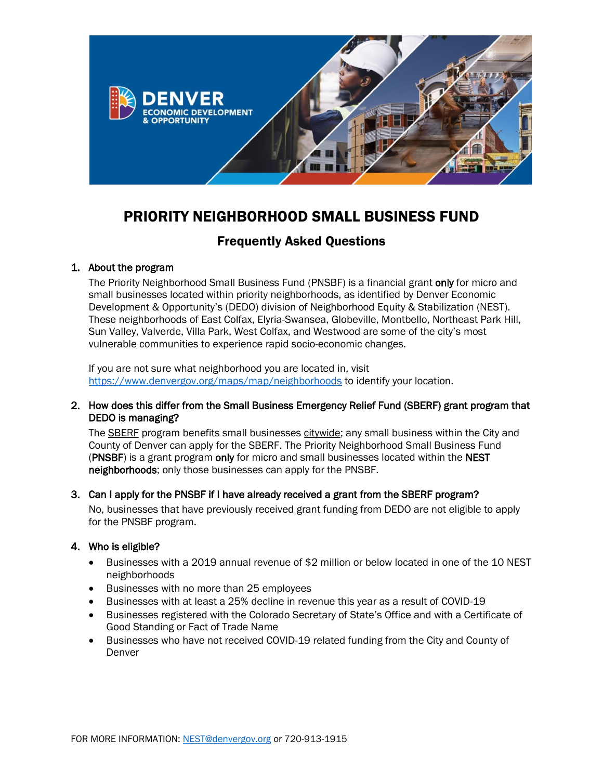

# PRIORITY NEIGHBORHOOD SMALL BUSINESS FUND

# Frequently Asked Questions

#### 1. About the program

The Priority Neighborhood Small Business Fund (PNSBF) is a financial grant only for micro and small businesses located within priority neighborhoods, as identified by Denver Economic Development & Opportunity's (DEDO) division of Neighborhood Equity & Stabilization (NEST). These neighborhoods of East Colfax, Elyria-Swansea, Globeville, Montbello, Northeast Park Hill, Sun Valley, Valverde, Villa Park, West Colfax, and Westwood are some of the city's most vulnerable communities to experience rapid socio-economic changes.

If you are not sure what neighborhood you are located in, visit <https://www.denvergov.org/maps/map/neighborhoods> to identify your location.

#### 2. How does this differ from the Small Business Emergency Relief Fund (SBERF) grant program that DEDO is managing?

The **SBERF** program benefits small businesses citywide; any small business within the City and County of Denver can apply for the SBERF. The Priority Neighborhood Small Business Fund (PNSBF) is a grant program only for micro and small businesses located within the NEST neighborhoods; only those businesses can apply for the PNSBF.

## 3. Can I apply for the PNSBF if I have already received a grant from the SBERF program?

No, businesses that have previously received grant funding from DEDO are not eligible to apply for the PNSBF program.

## 4. Who is eligible?

- Businesses with a 2019 annual revenue of \$2 million or below located in one of the 10 NEST neighborhoods
- Businesses with no more than 25 employees
- Businesses with at least a 25% decline in revenue this year as a result of COVID-19
- Businesses registered with the Colorado Secretary of State's Office and with a Certificate of Good Standing or Fact of Trade Name
- Businesses who have not received COVID-19 related funding from the City and County of Denver